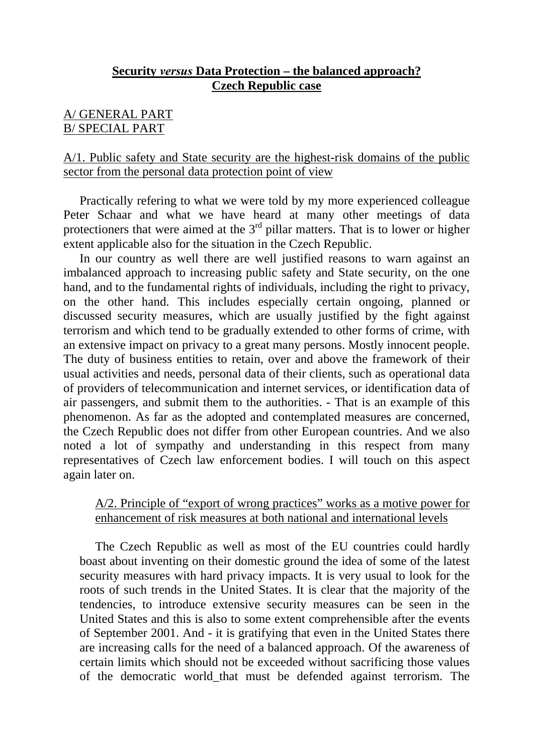### **Security** *versus* **Data Protection – the balanced approach? Czech Republic case**

### A/ GENERAL PART B/ SPECIAL PART

#### A/1. Public safety and State security are the highest-risk domains of the public sector from the personal data protection point of view

Practically refering to what we were told by my more experienced colleague Peter Schaar and what we have heard at many other meetings of data protectioners that were aimed at the  $3<sup>rd</sup>$  pillar matters. That is to lower or higher extent applicable also for the situation in the Czech Republic.

In our country as well there are well justified reasons to warn against an imbalanced approach to increasing public safety and State security, on the one hand, and to the fundamental rights of individuals, including the right to privacy, on the other hand. This includes especially certain ongoing, planned or discussed security measures, which are usually justified by the fight against terrorism and which tend to be gradually extended to other forms of crime, with an extensive impact on privacy to a great many persons. Mostly innocent people. The duty of business entities to retain, over and above the framework of their usual activities and needs, personal data of their clients, such as operational data of providers of telecommunication and internet services, or identification data of air passengers, and submit them to the authorities. - That is an example of this phenomenon. As far as the adopted and contemplated measures are concerned, the Czech Republic does not differ from other European countries. And we also noted a lot of sympathy and understanding in this respect from many representatives of Czech law enforcement bodies. I will touch on this aspect again later on.

### A/2. Principle of "export of wrong practices" works as a motive power for enhancement of risk measures at both national and international levels

The Czech Republic as well as most of the EU countries could hardly boast about inventing on their domestic ground the idea of some of the latest security measures with hard privacy impacts. It is very usual to look for the roots of such trends in the United States. It is clear that the majority of the tendencies, to introduce extensive security measures can be seen in the United States and this is also to some extent comprehensible after the events of September 2001. And - it is gratifying that even in the United States there are increasing calls for the need of a balanced approach. Of the awareness of certain limits which should not be exceeded without sacrificing those values of the democratic world\_that must be defended against terrorism. The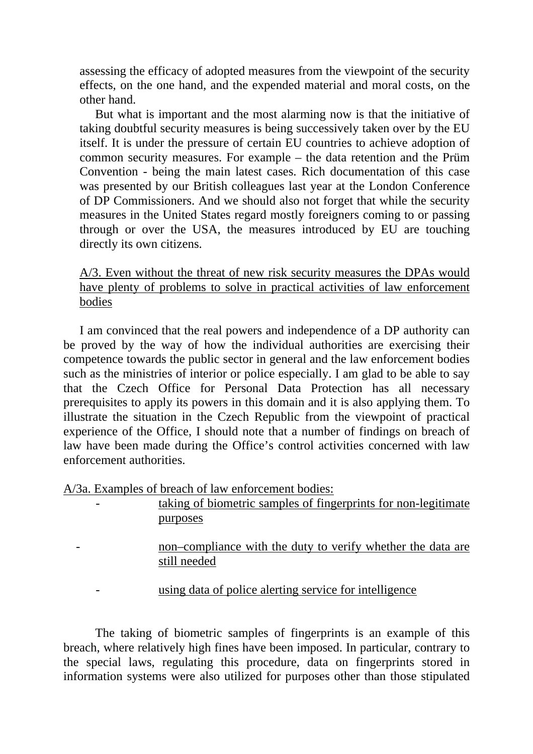assessing the efficacy of adopted measures from the viewpoint of the security effects, on the one hand, and the expended material and moral costs, on the other hand.

But what is important and the most alarming now is that the initiative of taking doubtful security measures is being successively taken over by the EU itself. It is under the pressure of certain EU countries to achieve adoption of common security measures. For example – the data retention and the Prüm Convention - being the main latest cases. Rich documentation of this case was presented by our British colleagues last year at the London Conference of DP Commissioners. And we should also not forget that while the security measures in the United States regard mostly foreigners coming to or passing through or over the USA, the measures introduced by EU are touching directly its own citizens.

A/3. Even without the threat of new risk security measures the DPAs would have plenty of problems to solve in practical activities of law enforcement bodies

I am convinced that the real powers and independence of a DP authority can be proved by the way of how the individual authorities are exercising their competence towards the public sector in general and the law enforcement bodies such as the ministries of interior or police especially. I am glad to be able to say that the Czech Office for Personal Data Protection has all necessary prerequisites to apply its powers in this domain and it is also applying them. To illustrate the situation in the Czech Republic from the viewpoint of practical experience of the Office, I should note that a number of findings on breach of law have been made during the Office's control activities concerned with law enforcement authorities.

A/3a. Examples of breach of law enforcement bodies:

| - | taking of biometric samples of fingerprints for non-legitimate |
|---|----------------------------------------------------------------|
|   | purposes                                                       |

non–compliance with the duty to verify whether the data are still needed

using data of police alerting service for intelligence

The taking of biometric samples of fingerprints is an example of this breach, where relatively high fines have been imposed. In particular, contrary to the special laws, regulating this procedure, data on fingerprints stored in information systems were also utilized for purposes other than those stipulated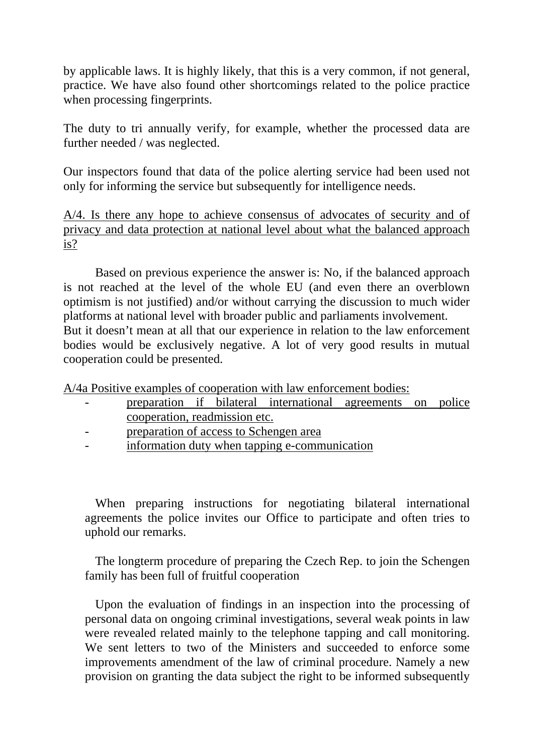by applicable laws. It is highly likely, that this is a very common, if not general, practice. We have also found other shortcomings related to the police practice when processing fingerprints.

The duty to tri annually verify, for example, whether the processed data are further needed / was neglected.

Our inspectors found that data of the police alerting service had been used not only for informing the service but subsequently for intelligence needs.

A/4. Is there any hope to achieve consensus of advocates of security and of privacy and data protection at national level about what the balanced approach is?

Based on previous experience the answer is: No, if the balanced approach is not reached at the level of the whole EU (and even there an overblown optimism is not justified) and/or without carrying the discussion to much wider platforms at national level with broader public and parliaments involvement. But it doesn't mean at all that our experience in relation to the law enforcement bodies would be exclusively negative. A lot of very good results in mutual cooperation could be presented.

A/4a Positive examples of cooperation with law enforcement bodies:

- preparation if bilateral international agreements on police cooperation, readmission etc.
- preparation of access to Schengen area
- information duty when tapping e-communication

When preparing instructions for negotiating bilateral international agreements the police invites our Office to participate and often tries to uphold our remarks.

The longterm procedure of preparing the Czech Rep. to join the Schengen family has been full of fruitful cooperation

Upon the evaluation of findings in an inspection into the processing of personal data on ongoing criminal investigations, several weak points in law were revealed related mainly to the telephone tapping and call monitoring. We sent letters to two of the Ministers and succeeded to enforce some improvements amendment of the law of criminal procedure. Namely a new provision on granting the data subject the right to be informed subsequently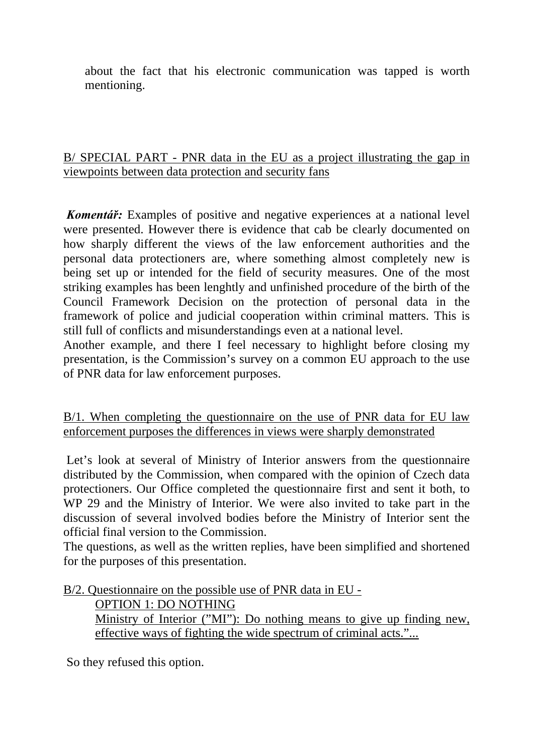about the fact that his electronic communication was tapped is worth mentioning.

### B/ SPECIAL PART - PNR data in the EU as a project illustrating the gap in viewpoints between data protection and security fans

 *Komentář:* Examples of positive and negative experiences at a national level were presented. However there is evidence that cab be clearly documented on how sharply different the views of the law enforcement authorities and the personal data protectioners are, where something almost completely new is being set up or intended for the field of security measures. One of the most striking examples has been lenghtly and unfinished procedure of the birth of the Council Framework Decision on the protection of personal data in the framework of police and judicial cooperation within criminal matters. This is still full of conflicts and misunderstandings even at a national level.

Another example, and there I feel necessary to highlight before closing my presentation, is the Commission's survey on a common EU approach to the use of PNR data for law enforcement purposes.

B/1. When completing the questionnaire on the use of PNR data for EU law enforcement purposes the differences in views were sharply demonstrated

Let's look at several of Ministry of Interior answers from the questionnaire distributed by the Commission, when compared with the opinion of Czech data protectioners. Our Office completed the questionnaire first and sent it both, to WP 29 and the Ministry of Interior. We were also invited to take part in the discussion of several involved bodies before the Ministry of Interior sent the official final version to the Commission.

The questions, as well as the written replies, have been simplified and shortened for the purposes of this presentation.

B/2. Questionnaire on the possible use of PNR data in EU -

OPTION 1: DO NOTHING Ministry of Interior ("MI"): Do nothing means to give up finding new, effective ways of fighting the wide spectrum of criminal acts."...

So they refused this option.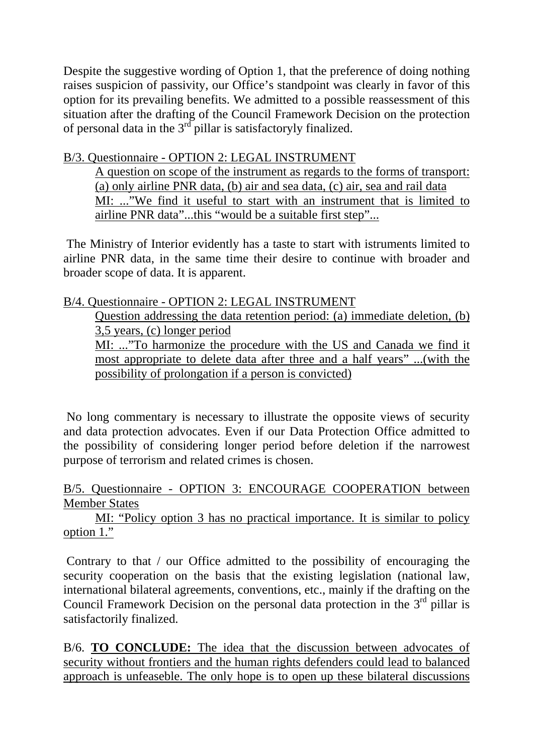Despite the suggestive wording of Option 1, that the preference of doing nothing raises suspicion of passivity, our Office's standpoint was clearly in favor of this option for its prevailing benefits. We admitted to a possible reassessment of this situation after the drafting of the Council Framework Decision on the protection of personal data in the  $3^{rd}$  pillar is satisfactoryly finalized.

# B/3. Questionnaire - OPTION 2: LEGAL INSTRUMENT

A question on scope of the instrument as regards to the forms of transport: (a) only airline PNR data, (b) air and sea data, (c) air, sea and rail data MI: ..."We find it useful to start with an instrument that is limited to airline PNR data"...this "would be a suitable first step"...

The Ministry of Interior evidently has a taste to start with istruments limited to airline PNR data, in the same time their desire to continue with broader and broader scope of data. It is apparent.

# B/4. Questionnaire - OPTION 2: LEGAL INSTRUMENT

Question addressing the data retention period: (a) immediate deletion, (b) 3,5 years, (c) longer period

MI: ..."To harmonize the procedure with the US and Canada we find it most appropriate to delete data after three and a half years" ...(with the possibility of prolongation if a person is convicted)

No long commentary is necessary to illustrate the opposite views of security and data protection advocates. Even if our Data Protection Office admitted to the possibility of considering longer period before deletion if the narrowest purpose of terrorism and related crimes is chosen.

## B/5. Questionnaire - OPTION 3: ENCOURAGE COOPERATION between Member States

 MI: "Policy option 3 has no practical importance. It is similar to policy option 1."

Contrary to that / our Office admitted to the possibility of encouraging the security cooperation on the basis that the existing legislation (national law, international bilateral agreements, conventions, etc., mainly if the drafting on the Council Framework Decision on the personal data protection in the  $3<sup>rd</sup>$  pillar is satisfactorily finalized.

B/6. **TO CONCLUDE:** The idea that the discussion between advocates of security without frontiers and the human rights defenders could lead to balanced approach is unfeaseble. The only hope is to open up these bilateral discussions